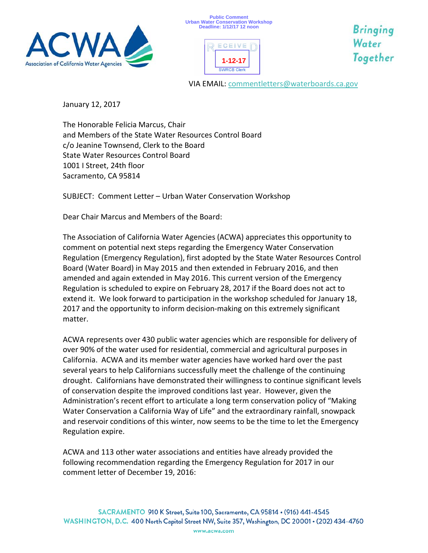





**Bringing** Water Together

VIA EMAIL: [commentletters@waterboards.ca.gov](mailto:commentletters@waterboards.ca.gov)

January 12, 2017

The Honorable Felicia Marcus, Chair and Members of the State Water Resources Control Board c/o Jeanine Townsend, Clerk to the Board State Water Resources Control Board 1001 I Street, 24th floor Sacramento, CA 95814

SUBJECT: Comment Letter – Urban Water Conservation Workshop

Dear Chair Marcus and Members of the Board:

The Association of California Water Agencies (ACWA) appreciates this opportunity to comment on potential next steps regarding the Emergency Water Conservation Regulation (Emergency Regulation), first adopted by the State Water Resources Control Board (Water Board) in May 2015 and then extended in February 2016, and then amended and again extended in May 2016. This current version of the Emergency Regulation is scheduled to expire on February 28, 2017 if the Board does not act to extend it. We look forward to participation in the workshop scheduled for January 18, 2017 and the opportunity to inform decision-making on this extremely significant matter.

ACWA represents over 430 public water agencies which are responsible for delivery of over 90% of the water used for residential, commercial and agricultural purposes in California. ACWA and its member water agencies have worked hard over the past several years to help Californians successfully meet the challenge of the continuing drought. Californians have demonstrated their willingness to continue significant levels of conservation despite the improved conditions last year. However, given the Administration's recent effort to articulate a long term conservation policy of "Making Water Conservation a California Way of Life" and the extraordinary rainfall, snowpack and reservoir conditions of this winter, now seems to be the time to let the Emergency Regulation expire.

ACWA and 113 other water associations and entities have already provided the following recommendation regarding the Emergency Regulation for 2017 in our comment letter of December 19, 2016: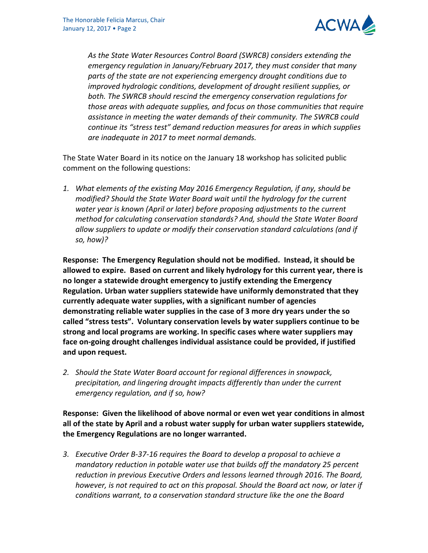

*As the State Water Resources Control Board (SWRCB) considers extending the emergency regulation in January/February 2017, they must consider that many parts of the state are not experiencing emergency drought conditions due to improved hydrologic conditions, development of drought resilient supplies, or both. The SWRCB should rescind the emergency conservation regulations for those areas with adequate supplies, and focus on those communities that require assistance in meeting the water demands of their community. The SWRCB could continue its "stress test" demand reduction measures for areas in which supplies are inadequate in 2017 to meet normal demands.*

The State Water Board in its notice on the January 18 workshop has solicited public comment on the following questions:

*1. What elements of the existing May 2016 Emergency Regulation, if any, should be modified? Should the State Water Board wait until the hydrology for the current water year is known (April or later) before proposing adjustments to the current method for calculating conservation standards? And, should the State Water Board allow suppliers to update or modify their conservation standard calculations (and if so, how)?*

**Response: The Emergency Regulation should not be modified. Instead, it should be allowed to expire. Based on current and likely hydrology for this current year, there is no longer a statewide drought emergency to justify extending the Emergency Regulation. Urban water suppliers statewide have uniformly demonstrated that they currently adequate water supplies, with a significant number of agencies demonstrating reliable water supplies in the case of 3 more dry years under the so called "stress tests". Voluntary conservation levels by water suppliers continue to be strong and local programs are working. In specific cases where water suppliers may face on-going drought challenges individual assistance could be provided, if justified and upon request.** 

*2. Should the State Water Board account for regional differences in snowpack, precipitation, and lingering drought impacts differently than under the current emergency regulation, and if so, how?*

**Response: Given the likelihood of above normal or even wet year conditions in almost all of the state by April and a robust water supply for urban water suppliers statewide, the Emergency Regulations are no longer warranted.** 

*3. Executive Order B-37-16 requires the Board to develop a proposal to achieve a mandatory reduction in potable water use that builds off the mandatory 25 percent reduction in previous Executive Orders and lessons learned through 2016. The Board, however, is not required to act on this proposal. Should the Board act now, or later if conditions warrant, to a conservation standard structure like the one the Board*